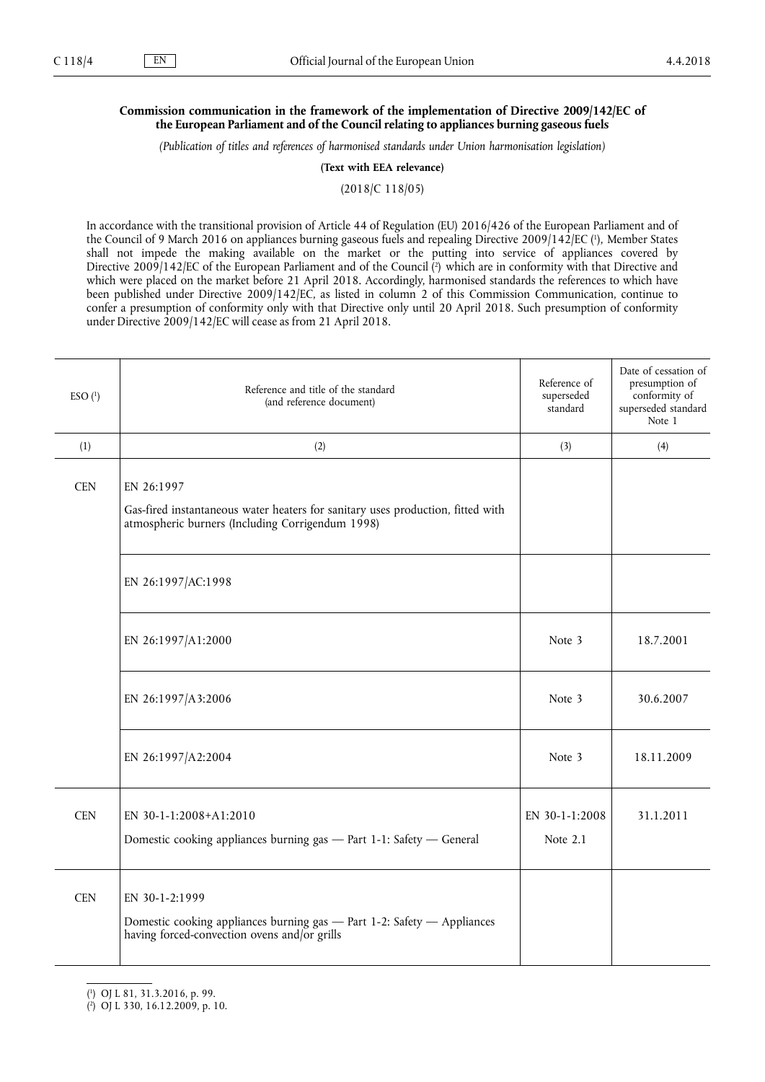## **Commission communication in the framework of the implementation of Directive 2009/142/EC of the European Parliament and of the Council relating to appliances burning gaseous fuels**

*(Publication of titles and references of harmonised standards under Union harmonisation legislation)*

**(Text with EEA relevance)**

(2018/C 118/05)

In accordance with the transitional provision of Article 44 of Regulation (EU) 2016/426 of the European Parliament and of the Council of 9 March 2016 on appliances burning gaseous fuels and repealing Directive 2009/142/EC ( 1 ), Member States shall not impede the making available on the market or the putting into service of appliances covered by Directive 2009/142/EC of the European Parliament and of the Council (<sup>2</sup>) which are in conformity with that Directive and which were placed on the market before 21 April 2018. Accordingly, harmonised standards the references to which have been published under Directive 2009/142/EC, as listed in column 2 of this Commission Communication, continue to confer a presumption of conformity only with that Directive only until 20 April 2018. Such presumption of conformity under Directive 2009/142/EC will cease as from 21 April 2018.

| $ESO(^1)$  | Reference and title of the standard<br>(and reference document)                                                                                   | Reference of<br>superseded<br>standard | Date of cessation of<br>presumption of<br>conformity of<br>superseded standard<br>Note 1 |
|------------|---------------------------------------------------------------------------------------------------------------------------------------------------|----------------------------------------|------------------------------------------------------------------------------------------|
| (1)        | (2)                                                                                                                                               | (3)                                    | (4)                                                                                      |
| <b>CEN</b> | EN 26:1997<br>Gas-fired instantaneous water heaters for sanitary uses production, fitted with<br>atmospheric burners (Including Corrigendum 1998) |                                        |                                                                                          |
|            | EN 26:1997/AC:1998                                                                                                                                |                                        |                                                                                          |
|            | EN 26:1997/A1:2000                                                                                                                                | Note 3                                 | 18.7.2001                                                                                |
|            | EN 26:1997/A3:2006                                                                                                                                | Note 3                                 | 30.6.2007                                                                                |
|            | EN 26:1997/A2:2004                                                                                                                                | Note 3                                 | 18.11.2009                                                                               |
| <b>CEN</b> | EN 30-1-1:2008+A1:2010<br>Domestic cooking appliances burning gas - Part 1-1: Safety - General                                                    | EN 30-1-1:2008<br>Note 2.1             | 31.1.2011                                                                                |
| <b>CEN</b> | EN 30-1-2:1999<br>Domestic cooking appliances burning gas - Part 1-2: Safety - Appliances<br>having forced-convection ovens and/or grills         |                                        |                                                                                          |

<sup>(</sup> 1 ) OJ L 81, 31.3.2016, p. 99.

<sup>(</sup> 2 ) OJ L 330, 16.12.2009, p. 10.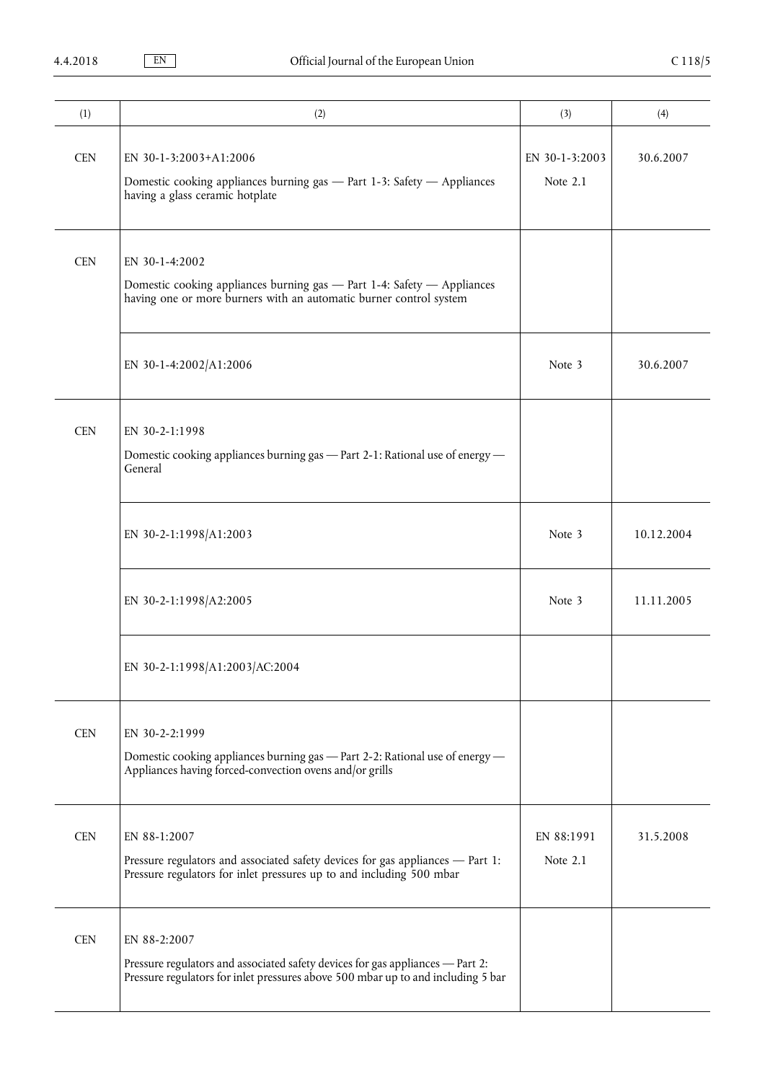| (1)        | (2)                                                                                                                                                                                | (3)                        | (4)        |
|------------|------------------------------------------------------------------------------------------------------------------------------------------------------------------------------------|----------------------------|------------|
| <b>CEN</b> | EN 30-1-3:2003+A1:2006<br>Domestic cooking appliances burning gas - Part 1-3: Safety - Appliances<br>having a glass ceramic hotplate                                               | EN 30-1-3:2003<br>Note 2.1 | 30.6.2007  |
| <b>CEN</b> | EN 30-1-4:2002<br>Domestic cooking appliances burning gas - Part 1-4: Safety - Appliances<br>having one or more burners with an automatic burner control system                    |                            |            |
|            | EN 30-1-4:2002/A1:2006                                                                                                                                                             | Note 3                     | 30.6.2007  |
| <b>CEN</b> | EN 30-2-1:1998<br>Domestic cooking appliances burning gas - Part 2-1: Rational use of energy -<br>General                                                                          |                            |            |
|            | EN 30-2-1:1998/A1:2003                                                                                                                                                             | Note 3                     | 10.12.2004 |
|            | EN 30-2-1:1998/A2:2005                                                                                                                                                             | Note 3                     | 11.11.2005 |
|            | EN 30-2-1:1998/A1:2003/AC:2004                                                                                                                                                     |                            |            |
| <b>CEN</b> | EN 30-2-2:1999<br>Domestic cooking appliances burning gas - Part 2-2: Rational use of energy -<br>Appliances having forced-convection ovens and/or grills                          |                            |            |
| <b>CEN</b> | EN 88-1:2007<br>Pressure regulators and associated safety devices for gas appliances - Part 1:<br>Pressure regulators for inlet pressures up to and including 500 mbar             | EN 88:1991<br>Note 2.1     | 31.5.2008  |
| <b>CEN</b> | EN 88-2:2007<br>Pressure regulators and associated safety devices for gas appliances - Part 2:<br>Pressure regulators for inlet pressures above 500 mbar up to and including 5 bar |                            |            |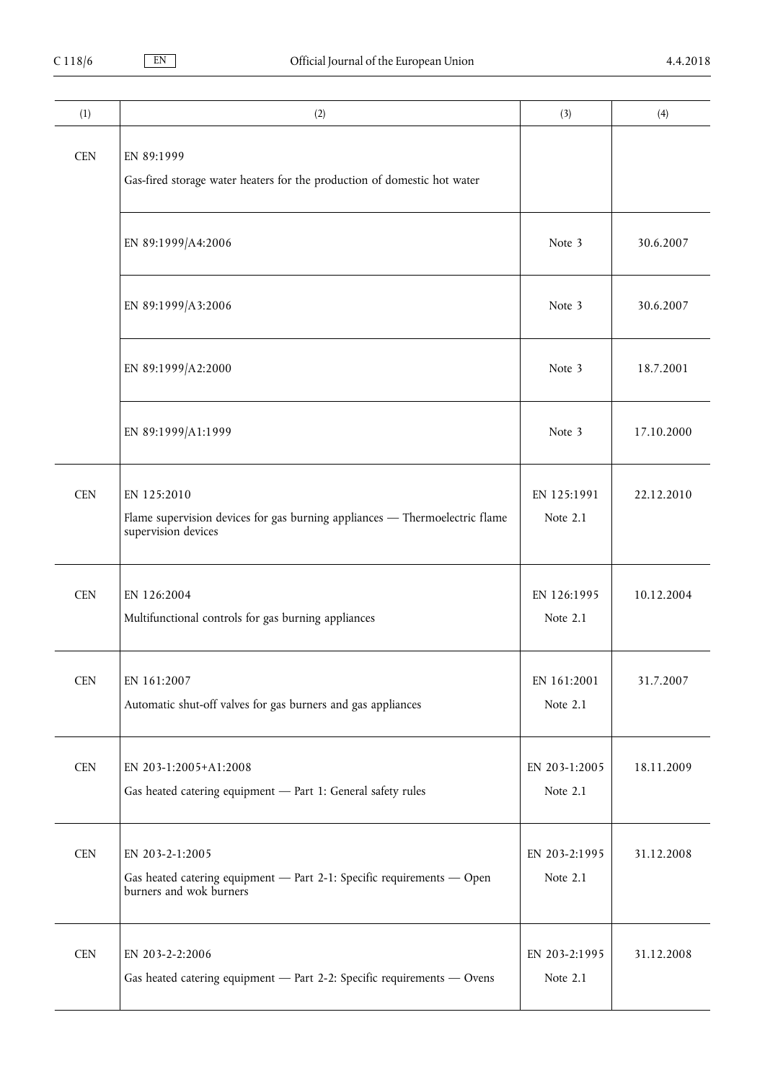| (1)        | (2)                                                                                                                  | (3)                       | (4)        |
|------------|----------------------------------------------------------------------------------------------------------------------|---------------------------|------------|
| <b>CEN</b> | EN 89:1999<br>Gas-fired storage water heaters for the production of domestic hot water                               |                           |            |
|            | EN 89:1999/A4:2006                                                                                                   | Note 3                    | 30.6.2007  |
|            | EN 89:1999/A3:2006                                                                                                   | Note 3                    | 30.6.2007  |
|            | EN 89:1999/A2:2000                                                                                                   | Note 3                    | 18.7.2001  |
|            | EN 89:1999/A1:1999                                                                                                   | Note 3                    | 17.10.2000 |
| <b>CEN</b> | EN 125:2010<br>Flame supervision devices for gas burning appliances - Thermoelectric flame<br>supervision devices    | EN 125:1991<br>Note 2.1   | 22.12.2010 |
| <b>CEN</b> | EN 126:2004<br>Multifunctional controls for gas burning appliances                                                   | EN 126:1995<br>Note 2.1   | 10.12.2004 |
| <b>CEN</b> | EN 161:2007<br>Automatic shut-off valves for gas burners and gas appliances                                          | EN 161:2001<br>Note 2.1   | 31.7.2007  |
| <b>CEN</b> | EN 203-1:2005+A1:2008<br>Gas heated catering equipment - Part 1: General safety rules                                | EN 203-1:2005<br>Note 2.1 | 18.11.2009 |
| <b>CEN</b> | EN 203-2-1:2005<br>Gas heated catering equipment - Part 2-1: Specific requirements - Open<br>burners and wok burners | EN 203-2:1995<br>Note 2.1 | 31.12.2008 |
| <b>CEN</b> | EN 203-2-2:2006<br>Gas heated catering equipment - Part 2-2: Specific requirements - Ovens                           | EN 203-2:1995<br>Note 2.1 | 31.12.2008 |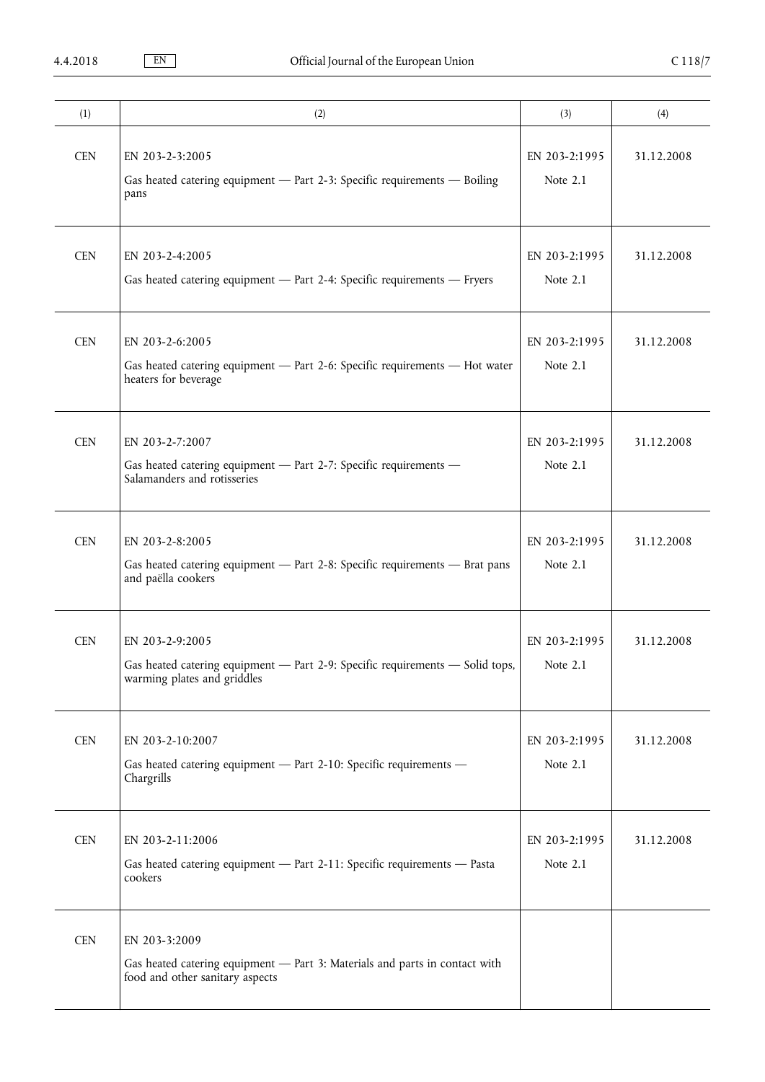| (1)        | (2)                                                                                                                             | (3)                       | (4)        |
|------------|---------------------------------------------------------------------------------------------------------------------------------|---------------------------|------------|
| <b>CEN</b> | EN 203-2-3:2005<br>Gas heated catering equipment - Part 2-3: Specific requirements - Boiling<br>pans                            | EN 203-2:1995<br>Note 2.1 | 31.12.2008 |
| <b>CEN</b> | EN 203-2-4:2005<br>Gas heated catering equipment - Part 2-4: Specific requirements - Fryers                                     | EN 203-2:1995<br>Note 2.1 | 31.12.2008 |
| <b>CEN</b> | EN 203-2-6:2005<br>Gas heated catering equipment - Part 2-6: Specific requirements - Hot water<br>heaters for beverage          | EN 203-2:1995<br>Note 2.1 | 31.12.2008 |
| <b>CEN</b> | EN 203-2-7:2007<br>Gas heated catering equipment - Part 2-7: Specific requirements -<br>Salamanders and rotisseries             | EN 203-2:1995<br>Note 2.1 | 31.12.2008 |
| <b>CEN</b> | EN 203-2-8:2005<br>Gas heated catering equipment - Part 2-8: Specific requirements - Brat pans<br>and paëlla cookers            | EN 203-2:1995<br>Note 2.1 | 31.12.2008 |
| <b>CEN</b> | EN 203-2-9:2005<br>Gas heated catering equipment - Part 2-9: Specific requirements - Solid tops,<br>warming plates and griddles | EN 203-2:1995<br>Note 2.1 | 31.12.2008 |
| <b>CEN</b> | EN 203-2-10:2007<br>Gas heated catering equipment - Part 2-10: Specific requirements -<br>Chargrills                            | EN 203-2:1995<br>Note 2.1 | 31.12.2008 |
| <b>CEN</b> | EN 203-2-11:2006<br>Gas heated catering equipment - Part 2-11: Specific requirements - Pasta<br>cookers                         | EN 203-2:1995<br>Note 2.1 | 31.12.2008 |
| <b>CEN</b> | EN 203-3:2009<br>Gas heated catering equipment - Part 3: Materials and parts in contact with<br>food and other sanitary aspects |                           |            |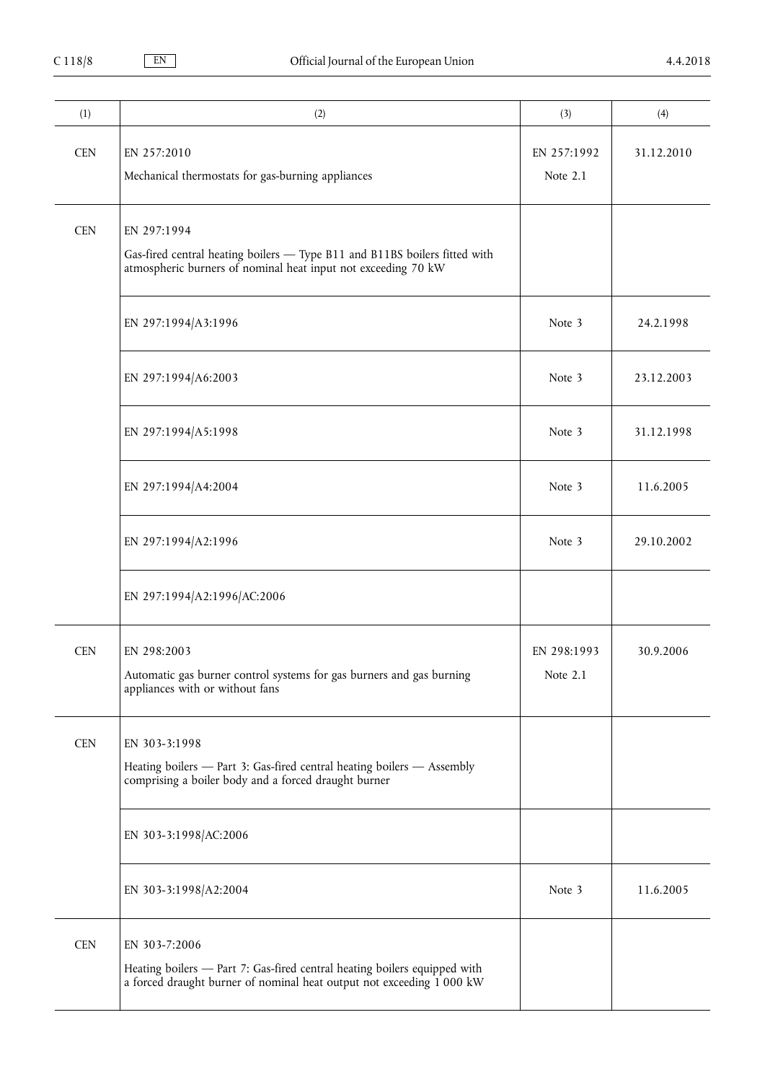| (1)        | (2)                                                                                                                            | (3)         | (4)        |
|------------|--------------------------------------------------------------------------------------------------------------------------------|-------------|------------|
| <b>CEN</b> | EN 257:2010                                                                                                                    | EN 257:1992 | 31.12.2010 |
|            | Mechanical thermostats for gas-burning appliances                                                                              | Note 2.1    |            |
|            |                                                                                                                                |             |            |
| <b>CEN</b> | EN 297:1994                                                                                                                    |             |            |
|            | Gas-fired central heating boilers - Type B11 and B11BS boilers fitted with                                                     |             |            |
|            | atmospheric burners of nominal heat input not exceeding 70 kW                                                                  |             |            |
|            |                                                                                                                                |             |            |
|            | EN 297:1994/A3:1996                                                                                                            | Note 3      | 24.2.1998  |
|            |                                                                                                                                |             |            |
|            | EN 297:1994/A6:2003                                                                                                            | Note 3      | 23.12.2003 |
|            |                                                                                                                                |             |            |
|            | EN 297:1994/A5:1998                                                                                                            | Note 3      | 31.12.1998 |
|            |                                                                                                                                |             |            |
|            | EN 297:1994/A4:2004                                                                                                            | Note 3      | 11.6.2005  |
|            |                                                                                                                                |             |            |
|            | EN 297:1994/A2:1996                                                                                                            | Note 3      | 29.10.2002 |
|            |                                                                                                                                |             |            |
|            | EN 297:1994/A2:1996/AC:2006                                                                                                    |             |            |
|            |                                                                                                                                |             |            |
| <b>CEN</b> | EN 298:2003                                                                                                                    | EN 298:1993 | 30.9.2006  |
|            | Automatic gas burner control systems for gas burners and gas burning                                                           | Note 2.1    |            |
|            | appliances with or without fans                                                                                                |             |            |
|            |                                                                                                                                |             |            |
| <b>CEN</b> | EN 303-3:1998                                                                                                                  |             |            |
|            | Heating boilers - Part 3: Gas-fired central heating boilers - Assembly<br>comprising a boiler body and a forced draught burner |             |            |
|            |                                                                                                                                |             |            |
|            | EN 303-3:1998/AC:2006                                                                                                          |             |            |
|            |                                                                                                                                |             |            |
|            | EN 303-3:1998/A2:2004                                                                                                          | Note 3      | 11.6.2005  |
|            |                                                                                                                                |             |            |
| <b>CEN</b> | EN 303-7:2006                                                                                                                  |             |            |
|            | Heating boilers - Part 7: Gas-fired central heating boilers equipped with                                                      |             |            |
|            | a forced draught burner of nominal heat output not exceeding 1 000 kW                                                          |             |            |
|            |                                                                                                                                |             |            |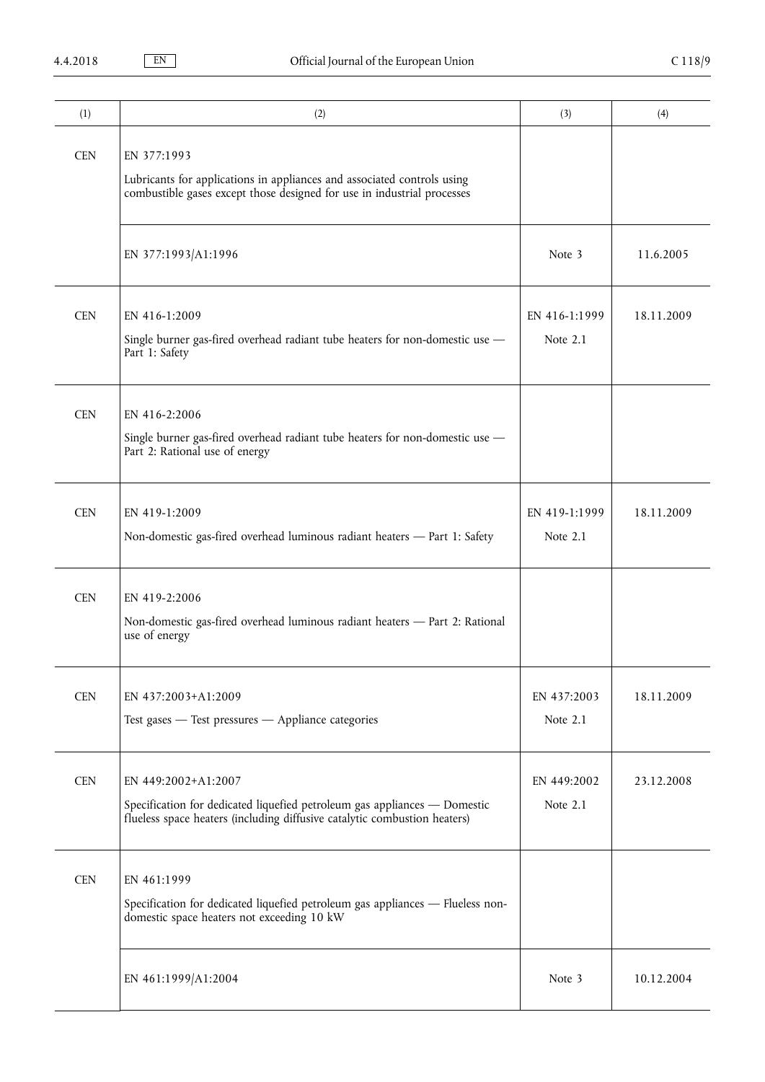| (1)        | (2)                                                                                                                                                                           | (3)                         | (4)        |
|------------|-------------------------------------------------------------------------------------------------------------------------------------------------------------------------------|-----------------------------|------------|
| <b>CEN</b> | EN 377:1993<br>Lubricants for applications in appliances and associated controls using<br>combustible gases except those designed for use in industrial processes             |                             |            |
|            | EN 377:1993/A1:1996                                                                                                                                                           | Note 3                      | 11.6.2005  |
| <b>CEN</b> | EN 416-1:2009<br>Single burner gas-fired overhead radiant tube heaters for non-domestic use -<br>Part 1: Safety                                                               | EN 416-1:1999<br>Note $2.1$ | 18.11.2009 |
| <b>CEN</b> | EN 416-2:2006<br>Single burner gas-fired overhead radiant tube heaters for non-domestic use -<br>Part 2: Rational use of energy                                               |                             |            |
| <b>CEN</b> | EN 419-1:2009<br>Non-domestic gas-fired overhead luminous radiant heaters - Part 1: Safety                                                                                    | EN 419-1:1999<br>Note $2.1$ | 18.11.2009 |
| <b>CEN</b> | EN 419-2:2006<br>Non-domestic gas-fired overhead luminous radiant heaters - Part 2: Rational<br>use of energy                                                                 |                             |            |
| <b>CEN</b> | EN 437:2003+A1:2009<br>Test gases - Test pressures - Appliance categories                                                                                                     | EN 437:2003<br>Note 2.1     | 18.11.2009 |
| <b>CEN</b> | EN 449:2002+A1:2007<br>Specification for dedicated liquefied petroleum gas appliances - Domestic<br>flueless space heaters (including diffusive catalytic combustion heaters) | EN 449:2002<br>Note 2.1     | 23.12.2008 |
| <b>CEN</b> | EN 461:1999<br>Specification for dedicated liquefied petroleum gas appliances - Flueless non-<br>domestic space heaters not exceeding 10 kW                                   |                             |            |
|            | EN 461:1999/A1:2004                                                                                                                                                           | Note 3                      | 10.12.2004 |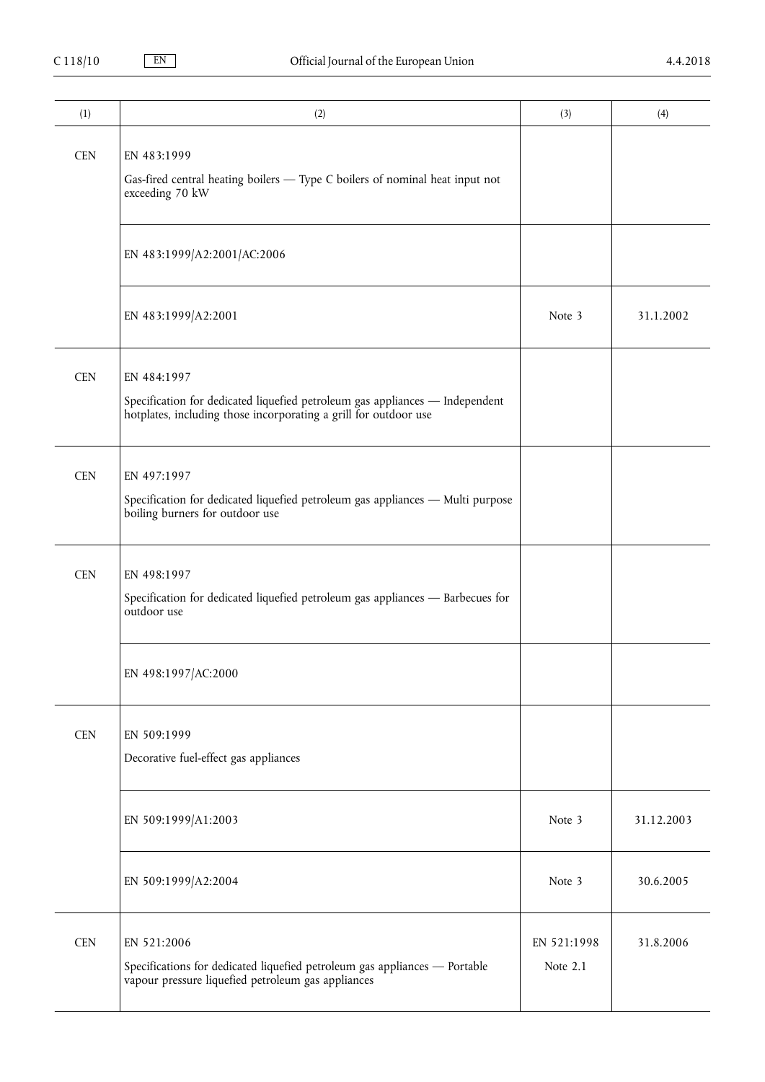| (1)        | (2)                                                                                                                                                             | (3)                     | (4)        |
|------------|-----------------------------------------------------------------------------------------------------------------------------------------------------------------|-------------------------|------------|
| <b>CEN</b> | EN 483:1999<br>Gas-fired central heating boilers - Type C boilers of nominal heat input not<br>exceeding 70 kW                                                  |                         |            |
|            | EN 483:1999/A2:2001/AC:2006                                                                                                                                     |                         |            |
|            | EN 483:1999/A2:2001                                                                                                                                             | Note 3                  | 31.1.2002  |
| <b>CEN</b> | EN 484:1997<br>Specification for dedicated liquefied petroleum gas appliances - Independent<br>hotplates, including those incorporating a grill for outdoor use |                         |            |
| <b>CEN</b> | EN 497:1997<br>Specification for dedicated liquefied petroleum gas appliances - Multi purpose<br>boiling burners for outdoor use                                |                         |            |
| <b>CEN</b> | EN 498:1997<br>Specification for dedicated liquefied petroleum gas appliances - Barbecues for<br>outdoor use                                                    |                         |            |
|            | EN 498:1997/AC:2000                                                                                                                                             |                         |            |
| <b>CEN</b> | EN 509:1999<br>Decorative fuel-effect gas appliances                                                                                                            |                         |            |
|            | EN 509:1999/A1:2003                                                                                                                                             | Note 3                  | 31.12.2003 |
|            | EN 509:1999/A2:2004                                                                                                                                             | Note 3                  | 30.6.2005  |
| <b>CEN</b> | EN 521:2006<br>Specifications for dedicated liquefied petroleum gas appliances - Portable<br>vapour pressure liquefied petroleum gas appliances                 | EN 521:1998<br>Note 2.1 | 31.8.2006  |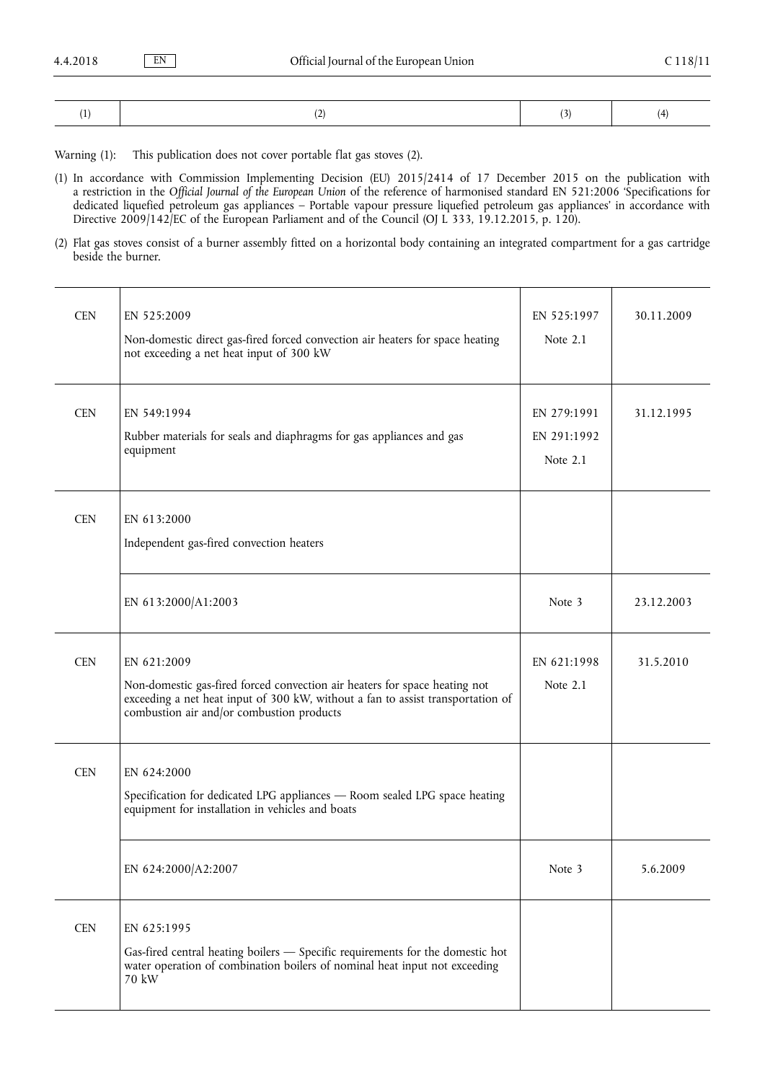|--|--|--|--|--|

Warning (1): This publication does not cover portable flat gas stoves (2).

(1) In accordance with Commission Implementing Decision (EU) 2015/2414 of 17 December 2015 on the publication with a restriction in the *Official Journal of the European Union* of the reference of harmonised standard EN 521:2006 'Specifications for dedicated liquefied petroleum gas appliances – Portable vapour pressure liquefied petroleum gas appliances' in accordance with Directive 2009/142/EC of the European Parliament and of the Council (OJ L 333, 19.12.2015, p. 120).

(2) Flat gas stoves consist of a burner assembly fitted on a horizontal body containing an integrated compartment for a gas cartridge beside the burner.

| <b>CEN</b> | EN 525:2009<br>Non-domestic direct gas-fired forced convection air heaters for space heating<br>not exceeding a net heat input of 300 kW                                                                                  | EN 525:1997<br>Note 2.1                | 30.11.2009 |
|------------|---------------------------------------------------------------------------------------------------------------------------------------------------------------------------------------------------------------------------|----------------------------------------|------------|
| <b>CEN</b> | EN 549:1994<br>Rubber materials for seals and diaphragms for gas appliances and gas<br>equipment                                                                                                                          | EN 279:1991<br>EN 291:1992<br>Note 2.1 | 31.12.1995 |
| <b>CEN</b> | EN 613:2000<br>Independent gas-fired convection heaters                                                                                                                                                                   |                                        |            |
|            | EN 613:2000/A1:2003                                                                                                                                                                                                       | Note 3                                 | 23.12.2003 |
| <b>CEN</b> | EN 621:2009<br>Non-domestic gas-fired forced convection air heaters for space heating not<br>exceeding a net heat input of 300 kW, without a fan to assist transportation of<br>combustion air and/or combustion products | EN 621:1998<br>Note 2.1                | 31.5.2010  |
| <b>CEN</b> | EN 624:2000<br>Specification for dedicated LPG appliances - Room sealed LPG space heating<br>equipment for installation in vehicles and boats                                                                             |                                        |            |
|            | EN 624:2000/A2:2007                                                                                                                                                                                                       | Note 3                                 | 5.6.2009   |
| <b>CEN</b> | EN 625:1995<br>Gas-fired central heating boilers — Specific requirements for the domestic hot<br>water operation of combination boilers of nominal heat input not exceeding<br>70 kW                                      |                                        |            |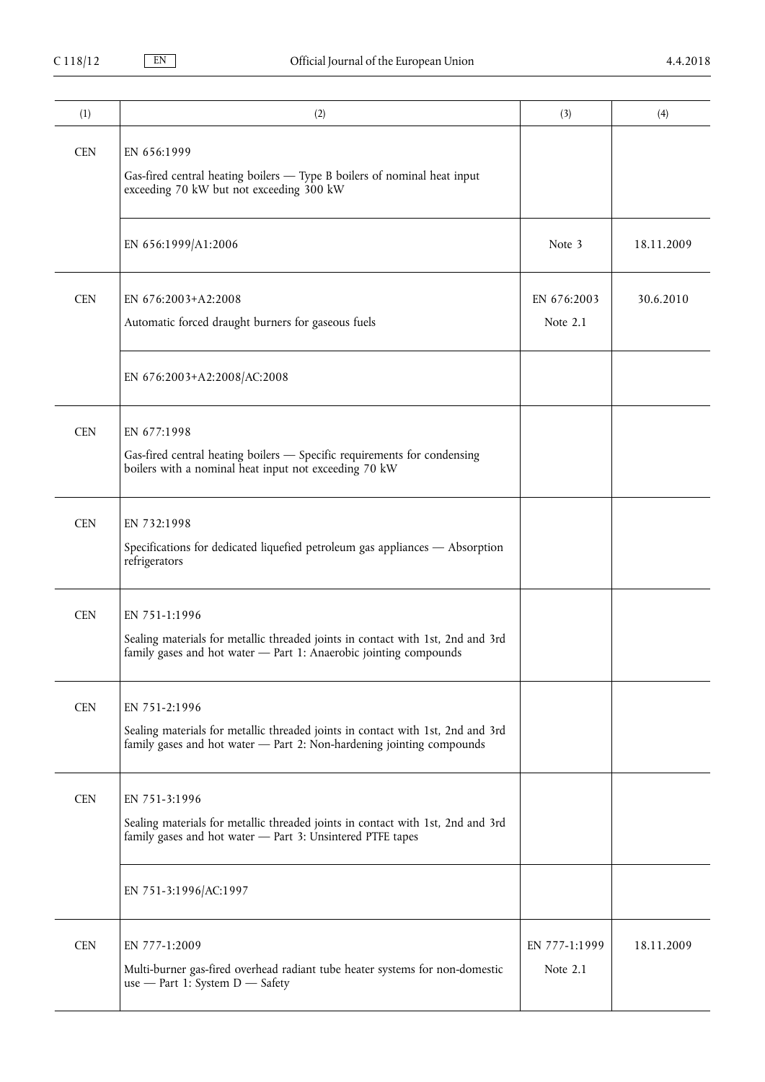| (1)        | (2)                                                                                                                                                                       | (3)                       | (4)        |
|------------|---------------------------------------------------------------------------------------------------------------------------------------------------------------------------|---------------------------|------------|
| <b>CEN</b> | EN 656:1999<br>Gas-fired central heating boilers — Type B boilers of nominal heat input<br>exceeding 70 kW but not exceeding 300 kW                                       |                           |            |
|            | EN 656:1999/A1:2006                                                                                                                                                       | Note 3                    | 18.11.2009 |
| <b>CEN</b> | EN 676:2003+A2:2008<br>Automatic forced draught burners for gaseous fuels                                                                                                 | EN 676:2003<br>Note 2.1   | 30.6.2010  |
|            | EN 676:2003+A2:2008/AC:2008                                                                                                                                               |                           |            |
| <b>CEN</b> | EN 677:1998<br>Gas-fired central heating boilers - Specific requirements for condensing<br>boilers with a nominal heat input not exceeding 70 kW                          |                           |            |
| <b>CEN</b> | EN 732:1998<br>Specifications for dedicated liquefied petroleum gas appliances - Absorption<br>refrigerators                                                              |                           |            |
| <b>CEN</b> | EN 751-1:1996<br>Sealing materials for metallic threaded joints in contact with 1st, 2nd and 3rd<br>family gases and hot water - Part 1: Anaerobic jointing compounds     |                           |            |
| <b>CEN</b> | EN 751-2:1996<br>Sealing materials for metallic threaded joints in contact with 1st, 2nd and 3rd<br>family gases and hot water - Part 2: Non-hardening jointing compounds |                           |            |
| <b>CEN</b> | EN 751-3:1996<br>Sealing materials for metallic threaded joints in contact with 1st, 2nd and 3rd<br>family gases and hot water - Part 3: Unsintered PTFE tapes            |                           |            |
|            | EN 751-3:1996/AC:1997                                                                                                                                                     |                           |            |
| <b>CEN</b> | EN 777-1:2009<br>Multi-burner gas-fired overhead radiant tube heater systems for non-domestic<br>use - Part 1: System D - Safety                                          | EN 777-1:1999<br>Note 2.1 | 18.11.2009 |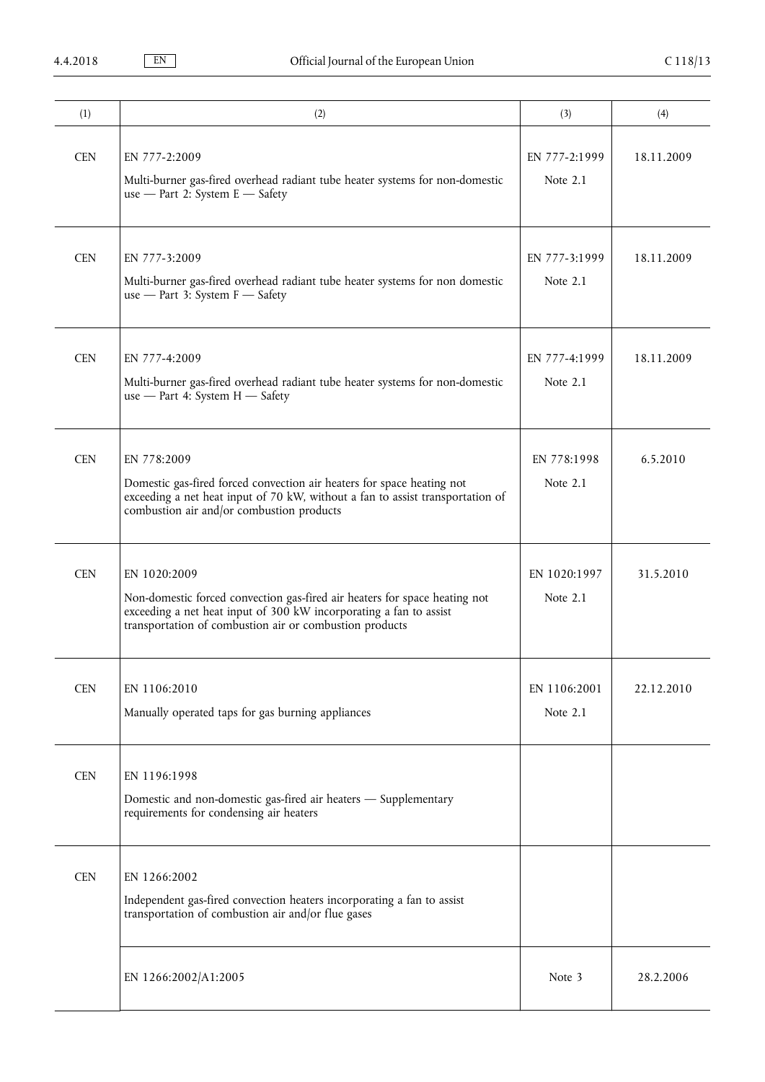| (1)        | (2)                                                                                                                                                                                                                         | (3)                       | (4)        |
|------------|-----------------------------------------------------------------------------------------------------------------------------------------------------------------------------------------------------------------------------|---------------------------|------------|
| <b>CEN</b> | EN 777-2:2009<br>Multi-burner gas-fired overhead radiant tube heater systems for non-domestic<br>use - Part 2: System E - Safety                                                                                            | EN 777-2:1999<br>Note 2.1 | 18.11.2009 |
| <b>CEN</b> | EN 777-3:2009<br>Multi-burner gas-fired overhead radiant tube heater systems for non domestic<br>use - Part 3: System F - Safety                                                                                            | EN 777-3:1999<br>Note 2.1 | 18.11.2009 |
| <b>CEN</b> | EN 777-4:2009<br>Multi-burner gas-fired overhead radiant tube heater systems for non-domestic<br>use - Part 4: System $H$ - Safety                                                                                          | EN 777-4:1999<br>Note 2.1 | 18.11.2009 |
| <b>CEN</b> | EN 778:2009<br>Domestic gas-fired forced convection air heaters for space heating not<br>exceeding a net heat input of 70 kW, without a fan to assist transportation of<br>combustion air and/or combustion products        | EN 778:1998<br>Note 2.1   | 6.5.2010   |
| <b>CEN</b> | EN 1020:2009<br>Non-domestic forced convection gas-fired air heaters for space heating not<br>exceeding a net heat input of 300 kW incorporating a fan to assist<br>transportation of combustion air or combustion products | EN 1020:1997<br>Note 2.1  | 31.5.2010  |
| <b>CEN</b> | EN 1106:2010<br>Manually operated taps for gas burning appliances                                                                                                                                                           | EN 1106:2001<br>Note 2.1  | 22.12.2010 |
| <b>CEN</b> | EN 1196:1998<br>Domestic and non-domestic gas-fired air heaters - Supplementary<br>requirements for condensing air heaters                                                                                                  |                           |            |
| <b>CEN</b> | EN 1266:2002<br>Independent gas-fired convection heaters incorporating a fan to assist<br>transportation of combustion air and/or flue gases                                                                                |                           |            |
|            | EN 1266:2002/A1:2005                                                                                                                                                                                                        | Note 3                    | 28.2.2006  |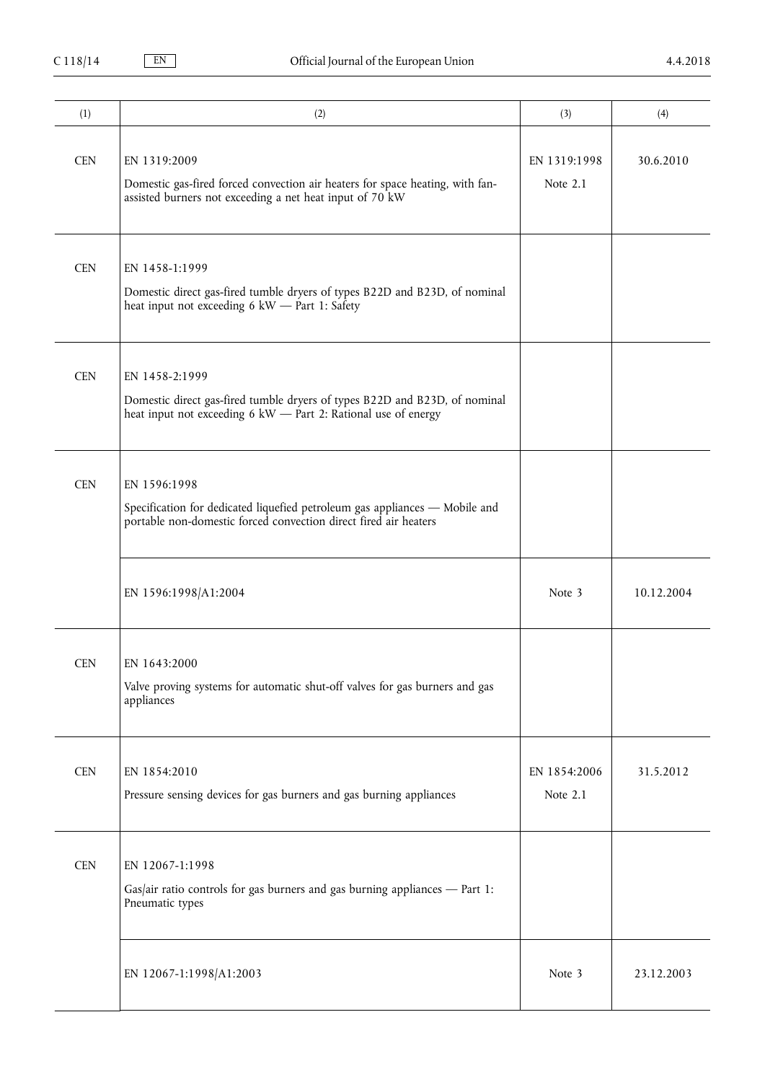| (1)        | (2)                                                                                                                                                             | (3)                      | (4)        |
|------------|-----------------------------------------------------------------------------------------------------------------------------------------------------------------|--------------------------|------------|
| <b>CEN</b> | EN 1319:2009<br>Domestic gas-fired forced convection air heaters for space heating, with fan-<br>assisted burners not exceeding a net heat input of 70 kW       | EN 1319:1998<br>Note 2.1 | 30.6.2010  |
| <b>CEN</b> | EN 1458-1:1999<br>Domestic direct gas-fired tumble dryers of types B22D and B23D, of nominal<br>heat input not exceeding 6 kW - Part 1: Safety                  |                          |            |
| <b>CEN</b> | EN 1458-2:1999<br>Domestic direct gas-fired tumble dryers of types B22D and B23D, of nominal<br>heat input not exceeding 6 kW - Part 2: Rational use of energy  |                          |            |
| <b>CEN</b> | EN 1596:1998<br>Specification for dedicated liquefied petroleum gas appliances - Mobile and<br>portable non-domestic forced convection direct fired air heaters |                          |            |
|            | EN 1596:1998/A1:2004                                                                                                                                            | Note 3                   | 10.12.2004 |
| <b>CEN</b> | EN 1643:2000<br>Valve proving systems for automatic shut-off valves for gas burners and gas<br>appliances                                                       |                          |            |
| <b>CEN</b> | EN 1854:2010<br>Pressure sensing devices for gas burners and gas burning appliances                                                                             | EN 1854:2006<br>Note 2.1 | 31.5.2012  |
| <b>CEN</b> | EN 12067-1:1998<br>Gas/air ratio controls for gas burners and gas burning appliances $-$ Part 1:<br>Pneumatic types                                             |                          |            |
|            | EN 12067-1:1998/A1:2003                                                                                                                                         | Note 3                   | 23.12.2003 |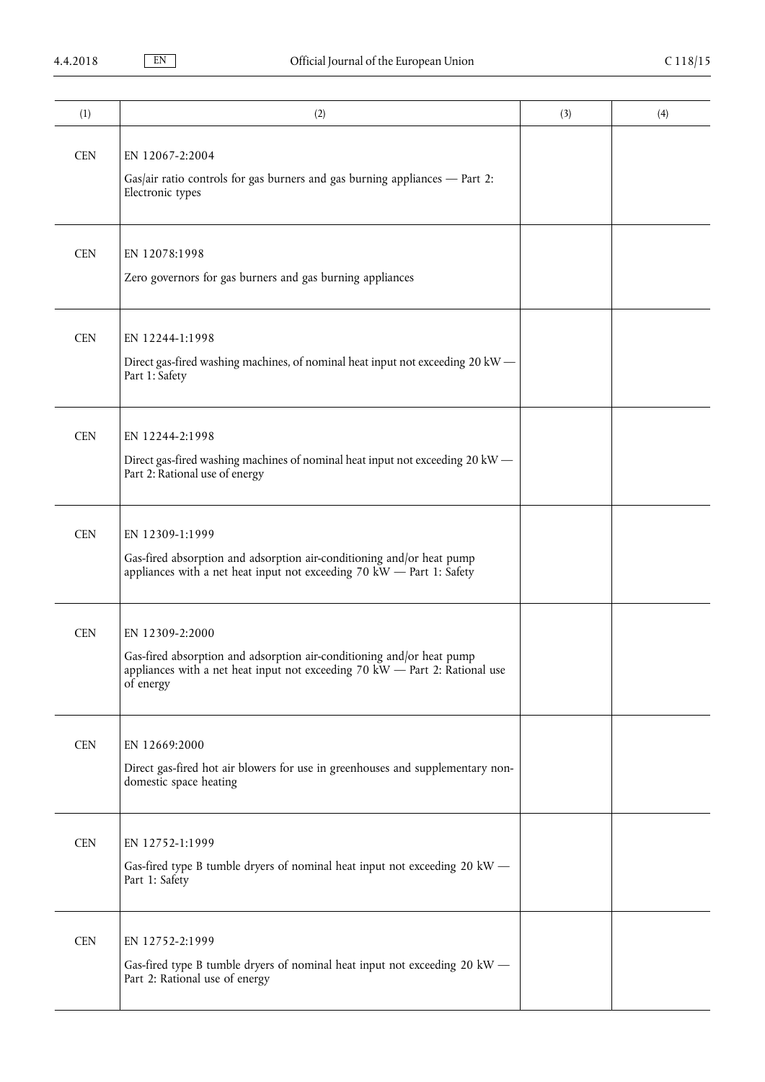| (1)        | (2)                                                                                                                                                                                    | (3) | (4) |
|------------|----------------------------------------------------------------------------------------------------------------------------------------------------------------------------------------|-----|-----|
| <b>CEN</b> | EN 12067-2:2004<br>Gas/air ratio controls for gas burners and gas burning appliances $-$ Part 2:<br>Electronic types                                                                   |     |     |
| <b>CEN</b> | EN 12078:1998<br>Zero governors for gas burners and gas burning appliances                                                                                                             |     |     |
| <b>CEN</b> | EN 12244-1:1998<br>Direct gas-fired washing machines, of nominal heat input not exceeding 20 kW -<br>Part 1: Safety                                                                    |     |     |
| <b>CEN</b> | EN 12244-2:1998<br>Direct gas-fired washing machines of nominal heat input not exceeding 20 kW -<br>Part 2: Rational use of energy                                                     |     |     |
| <b>CEN</b> | EN 12309-1:1999<br>Gas-fired absorption and adsorption air-conditioning and/or heat pump<br>appliances with a net heat input not exceeding 70 kW $-$ Part 1: Safety                    |     |     |
| <b>CEN</b> | EN 12309-2:2000<br>Gas-fired absorption and adsorption air-conditioning and/or heat pump<br>appliances with a net heat input not exceeding 70 kW $-$ Part 2: Rational use<br>of energy |     |     |
| <b>CEN</b> | EN 12669:2000<br>Direct gas-fired hot air blowers for use in greenhouses and supplementary non-<br>domestic space heating                                                              |     |     |
| <b>CEN</b> | EN 12752-1:1999<br>Gas-fired type B tumble dryers of nominal heat input not exceeding 20 kW -<br>Part 1: Safety                                                                        |     |     |
| <b>CEN</b> | EN 12752-2:1999<br>Gas-fired type B tumble dryers of nominal heat input not exceeding 20 kW -<br>Part 2: Rational use of energy                                                        |     |     |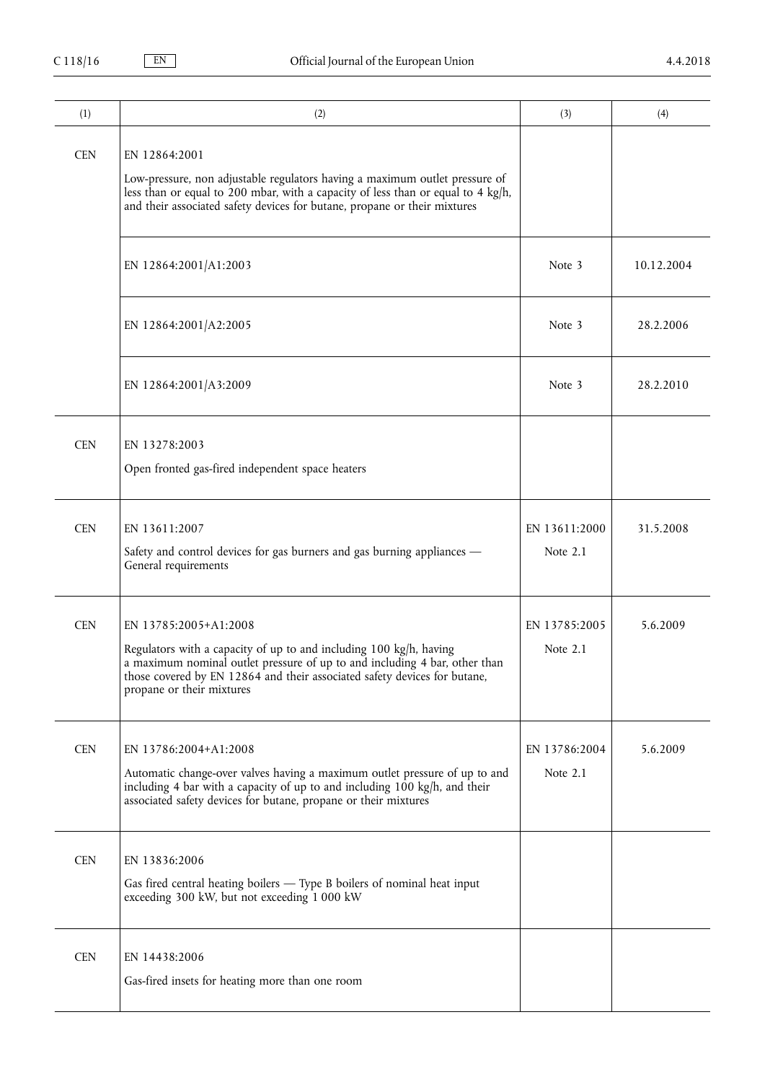| (1)        | (2)                                                                                                                                                                                                                                                                                 | (3)                         | (4)        |
|------------|-------------------------------------------------------------------------------------------------------------------------------------------------------------------------------------------------------------------------------------------------------------------------------------|-----------------------------|------------|
| <b>CEN</b> | EN 12864:2001<br>Low-pressure, non adjustable regulators having a maximum outlet pressure of<br>less than or equal to 200 mbar, with a capacity of less than or equal to 4 kg/h,<br>and their associated safety devices for butane, propane or their mixtures                       |                             |            |
|            | EN 12864:2001/A1:2003                                                                                                                                                                                                                                                               | Note 3                      | 10.12.2004 |
|            | EN 12864:2001/A2:2005                                                                                                                                                                                                                                                               | Note 3                      | 28.2.2006  |
|            | EN 12864:2001/A3:2009                                                                                                                                                                                                                                                               | Note 3                      | 28.2.2010  |
| <b>CEN</b> | EN 13278:2003<br>Open fronted gas-fired independent space heaters                                                                                                                                                                                                                   |                             |            |
| <b>CEN</b> | EN 13611:2007<br>Safety and control devices for gas burners and gas burning appliances -<br>General requirements                                                                                                                                                                    | EN 13611:2000<br>Note 2.1   | 31.5.2008  |
| <b>CEN</b> | EN 13785:2005+A1:2008<br>Regulators with a capacity of up to and including 100 kg/h, having<br>a maximum nominal outlet pressure of up to and including 4 bar, other than<br>those covered by EN 12864 and their associated safety devices for butane,<br>propane or their mixtures | EN 13785:2005<br>Note $2.1$ | 5.6.2009   |
| <b>CEN</b> | EN 13786:2004+A1:2008<br>Automatic change-over valves having a maximum outlet pressure of up to and<br>including 4 bar with a capacity of up to and including 100 kg/h, and their<br>associated safety devices for butane, propane or their mixtures                                | EN 13786:2004<br>Note $2.1$ | 5.6.2009   |
| <b>CEN</b> | EN 13836:2006<br>Gas fired central heating boilers - Type B boilers of nominal heat input<br>exceeding 300 kW, but not exceeding 1 000 kW                                                                                                                                           |                             |            |
| <b>CEN</b> | EN 14438:2006<br>Gas-fired insets for heating more than one room                                                                                                                                                                                                                    |                             |            |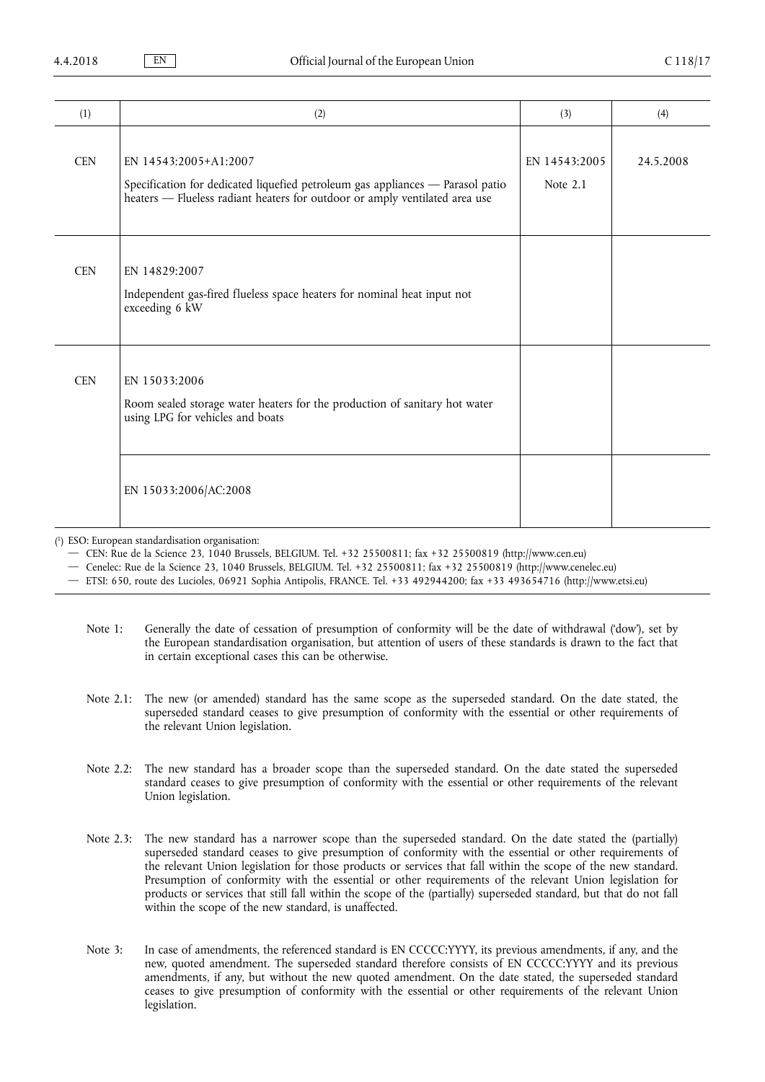| (1)        | (2)                                                                                                                                                                                    | (3)                       | (4)       |
|------------|----------------------------------------------------------------------------------------------------------------------------------------------------------------------------------------|---------------------------|-----------|
| <b>CEN</b> | EN 14543:2005+A1:2007<br>Specification for dedicated liquefied petroleum gas appliances - Parasol patio<br>heaters - Flueless radiant heaters for outdoor or amply ventilated area use | EN 14543:2005<br>Note 2.1 | 24.5.2008 |
| <b>CEN</b> | EN 14829:2007<br>Independent gas-fired flueless space heaters for nominal heat input not<br>exceeding 6 kW                                                                             |                           |           |
| <b>CEN</b> | EN 15033:2006<br>Room sealed storage water heaters for the production of sanitary hot water<br>using LPG for vehicles and boats                                                        |                           |           |
|            | EN 15033:2006/AC:2008                                                                                                                                                                  |                           |           |

( 1 ) ESO: European standardisation organisation:

— CEN: Rue de la Science 23, 1040 Brussels, BELGIUM. Tel. +32 25500811; fax +32 25500819 [\(http://www.cen.eu](http://www.cen.eu))

— Cenelec: Rue de la Science 23, 1040 Brussels, BELGIUM. Tel. +32 25500811; fax +32 25500819 [\(http://www.cenelec.eu\)](http://www.cenelec.eu)

— ETSI: 650, route des Lucioles, 06921 Sophia Antipolis, FRANCE. Tel. +33 492944200; fax +33 493654716 [\(http://www.etsi.eu\)](http://www.etsi.eu)

- Note 1: Generally the date of cessation of presumption of conformity will be the date of withdrawal ('dow'), set by the European standardisation organisation, but attention of users of these standards is drawn to the fact that in certain exceptional cases this can be otherwise.
- Note 2.1: The new (or amended) standard has the same scope as the superseded standard. On the date stated, the superseded standard ceases to give presumption of conformity with the essential or other requirements of the relevant Union legislation.
- Note 2.2: The new standard has a broader scope than the superseded standard. On the date stated the superseded standard ceases to give presumption of conformity with the essential or other requirements of the relevant Union legislation.
- Note 2.3: The new standard has a narrower scope than the superseded standard. On the date stated the (partially) superseded standard ceases to give presumption of conformity with the essential or other requirements of the relevant Union legislation for those products or services that fall within the scope of the new standard. Presumption of conformity with the essential or other requirements of the relevant Union legislation for products or services that still fall within the scope of the (partially) superseded standard, but that do not fall within the scope of the new standard, is unaffected.
- Note 3: In case of amendments, the referenced standard is EN CCCCC:YYYY, its previous amendments, if any, and the new, quoted amendment. The superseded standard therefore consists of EN CCCCC:YYYY and its previous amendments, if any, but without the new quoted amendment. On the date stated, the superseded standard ceases to give presumption of conformity with the essential or other requirements of the relevant Union legislation.